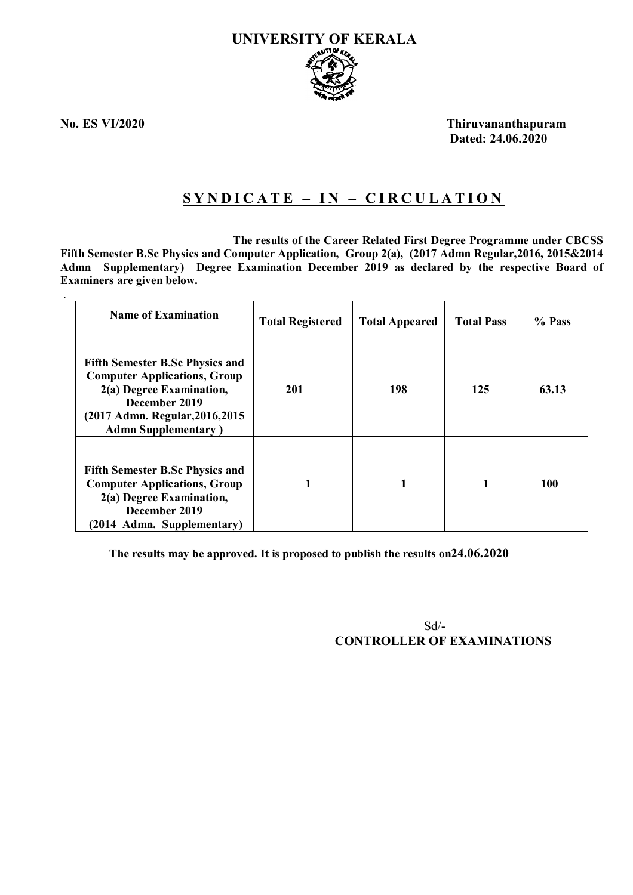

.

**No. ES VI/2020 Thiruvananthapuram Dated: 24.06.2020**

# **S Y N D I C A T E – I N – C I R C U L A T I O N**

 **The results of the Career Related First Degree Programme under CBCSS Fifth Semester B.Sc Physics and Computer Application, Group 2(a), (2017 Admn Regular,2016, 2015&2014 Admn Supplementary) Degree Examination December 2019 as declared by the respective Board of Examiners are given below.**

| <b>Name of Examination</b>                                                                                                                                                                    | <b>Total Registered</b> | <b>Total Appeared</b> | <b>Total Pass</b> | % Pass |
|-----------------------------------------------------------------------------------------------------------------------------------------------------------------------------------------------|-------------------------|-----------------------|-------------------|--------|
| <b>Fifth Semester B.Sc Physics and</b><br><b>Computer Applications, Group</b><br>2(a) Degree Examination,<br>December 2019<br>(2017 Admn. Regular, 2016, 2015)<br><b>Admn Supplementary</b> ) | 201                     | 198                   | 125               | 63.13  |
| <b>Fifth Semester B.Sc Physics and</b><br><b>Computer Applications, Group</b><br>2(a) Degree Examination,<br>December 2019<br>(2014 Admn. Supplementary)                                      |                         |                       |                   | 100    |

**The results may be approved. It is proposed to publish the results on24.06.2020**

 Sd/- **CONTROLLER OF EXAMINATIONS**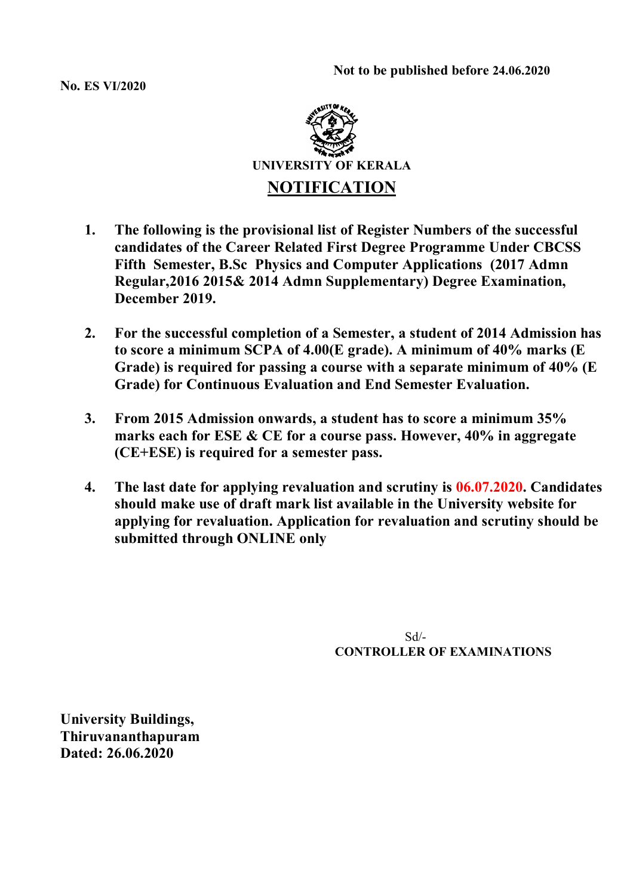**No. ES VI/2020**



- **1. The following is the provisional list of Register Numbers of the successful candidates of the Career Related First Degree Programme Under CBCSS Fifth Semester, B.Sc Physics and Computer Applications (2017 Admn Regular,2016 2015& 2014 Admn Supplementary) Degree Examination, December 2019.**
- **2. For the successful completion of a Semester, a student of 2014 Admission has to score a minimum SCPA of 4.00(E grade). A minimum of 40% marks (E Grade) is required for passing a course with a separate minimum of 40% (E Grade) for Continuous Evaluation and End Semester Evaluation.**
- **3. From 2015 Admission onwards, a student has to score a minimum 35% marks each for ESE & CE for a course pass. However, 40% in aggregate (CE+ESE) is required for a semester pass.**
- **4. The last date for applying revaluation and scrutiny is 06.07.2020. Candidates should make use of draft mark list available in the University website for applying for revaluation. Application for revaluation and scrutiny should be submitted through ONLINE only**

 $Sd/-$ **CONTROLLER OF EXAMINATIONS**

**University Buildings, Thiruvananthapuram Dated: 26.06.2020**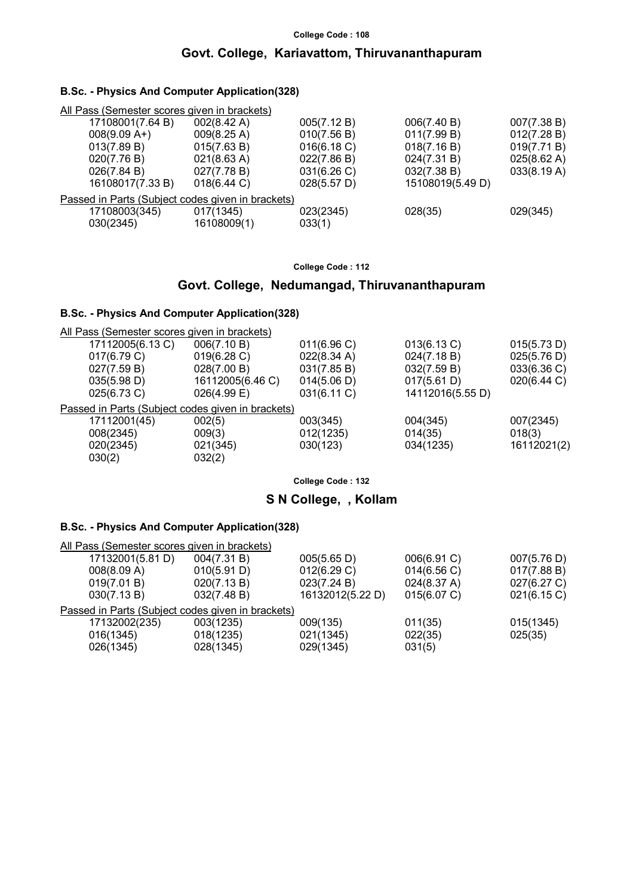## **College Code : 108 Govt. College, Kariavattom, Thiruvananthapuram**

#### **B.Sc. - Physics And Computer Application(328)**

| All Pass (Semester scores given in brackets)      |                       |             |                  |             |
|---------------------------------------------------|-----------------------|-------------|------------------|-------------|
| 17108001(7.64 B)                                  | $002(8.42 \text{ A})$ | 005(7.12 B) | 006(7.40 B)      | 007(7.38 B) |
| $008(9.09 A+)$                                    | 009(8.25 A)           | 010(7.56 B) | 011(7.99 B)      | 012(7.28 B) |
| 013(7.89 B)                                       | 015(7.63 B)           | 016(6.18 C) | 018(7.16 B)      | 019(7.71 B) |
| 020(7.76 B)                                       | 021(8.63 A)           | 022(7.86 B) | 024(7.31 B)      | 025(8.62 A) |
| 026(7.84 B)                                       | 027(7.78 B)           | 031(6.26 C) | 032(7.38 B)      | 033(8.19 A) |
| 16108017(7.33 B)                                  | $018(6.44)$ C)        | 028(5.57 D) | 15108019(5.49 D) |             |
| Passed in Parts (Subject codes given in brackets) |                       |             |                  |             |
| 17108003(345)                                     | 017(1345)             | 023(2345)   | 028(35)          | 029(345)    |
| 030(2345)                                         | 16108009(1)           | 033(1)      |                  |             |
|                                                   |                       |             |                  |             |

**College Code : 112**

#### **Govt. College, Nedumangad, Thiruvananthapuram**

#### **B.Sc. - Physics And Computer Application(328)**

| 006(7.10 B)      | 011(6.96)                                    | 013(6.13 C)                                       | 015(5.73 D) |
|------------------|----------------------------------------------|---------------------------------------------------|-------------|
| 019(6.28)        | 022(8.34 A)                                  | 024(7.18 B)                                       | 025(5.76 D) |
| 028(7.00 B)      | 031(7.85 B)                                  | 032(7.59 B)                                       | 033(6.36 C) |
| 16112005(6.46 C) | 014(5.06 D)                                  | 017(5.61 D)                                       | 020(6.44 C) |
| $026(4.99)$ E)   | 031(6.11 C)                                  | 14112016(5.55 D)                                  |             |
|                  |                                              |                                                   |             |
| 002(5)           | 003(345)                                     | 004(345)                                          | 007(2345)   |
| 009(3)           | 012(1235)                                    | 014(35)                                           | 018(3)      |
| 021(345)         | 030(123)                                     | 034(1235)                                         | 16112021(2) |
| 032(2)           |                                              |                                                   |             |
|                  | All Pass (Semester scores given in brackets) | Passed in Parts (Subject codes given in brackets) |             |

**College Code : 132**

#### **S N College, , Kollam**

#### **B.Sc. - Physics And Computer Application(328)**

| All Pass (Semester scores given in brackets)      |             |                  |             |             |
|---------------------------------------------------|-------------|------------------|-------------|-------------|
| 17132001(5.81 D)                                  | 004(7.31 B) | 005(5.65 D)      | 006(6.91 C) | 007(5.76 D) |
| 008(8.09 A)                                       | 010(5.91 D) | 012(6.29 C)      | 014(6.56 C) | 017(7.88 B) |
| 019(7.01 B)                                       | 020(7.13 B) | 023(7.24 B)      | 024(8.37 A) | 027(6.27 C) |
| 030(7.13 B)                                       | 032(7.48 B) | 16132012(5.22 D) | 015(6.07 C) | 021(6.15 C) |
| Passed in Parts (Subject codes given in brackets) |             |                  |             |             |
| 17132002(235)                                     | 003(1235)   | 009(135)         | 011(35)     | 015(1345)   |
| 016(1345)                                         | 018(1235)   | 021(1345)        | 022(35)     | 025(35)     |
| 026(1345)                                         | 028(1345)   | 029(1345)        | 031(5)      |             |
|                                                   |             |                  |             |             |